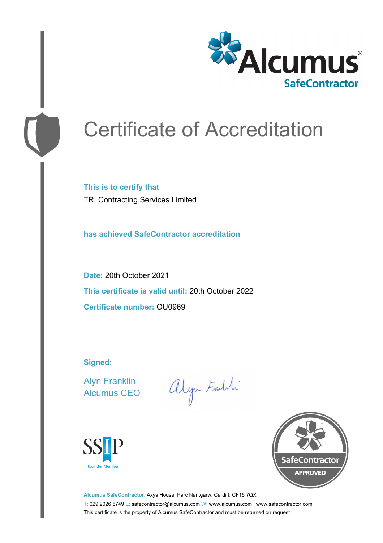

# Certificate of Accreditation

**This is to certify that** TRI Contracting Services Limited

**has achieved SafeContractor accreditation**

**Date:** 20th October 2021 **This certificate is valid until:** 20th October 2022 **Certificate number:** OU0969

**Signed:**

Alyn Franklin Alcumus CEO

alyn Faldi





**Alcumus SafeContractor,** Axys House, Parc Nantgarw, Cardiff, CF15 7QX T: 029 2026 6749 E: safecontractor@alcumus.com W: www.alcumus.com | www.safecontractor.com This certificate is the property of Alcumus SafeContractor and must be returned on request